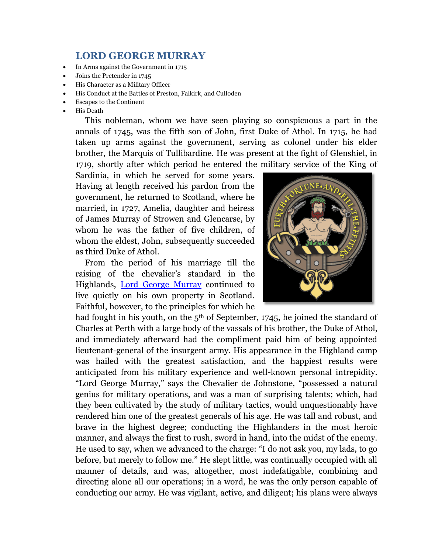## **LORD GEORGE MURRAY**

- In Arms against the Government in 1715
- Joins the Pretender in 1745
- His Character as a Military Officer
- His Conduct at the Battles of Preston, Falkirk, and Culloden
- Escapes to the Continent
- His Death

This nobleman, whom we have seen playing so conspicuous a part in the annals of 1745, was the fifth son of John, first Duke of Athol. In 1715, he had taken up arms against the government, serving as colonel under his elder brother, the Marquis of Tullibardine. He was present at the fight of Glenshiel, in 1719, shortly after which period he entered the military service of the King of

Sardinia, in which he served for some years. Having at length received his pardon from the government, he returned to Scotland, where he married, in 1727, Amelia, daughter and heiress of James Murray of Strowen and Glencarse, by whom he was the father of five children, of whom the eldest, John, subsequently succeeded as third Duke of Athol.

From the period of his marriage till the raising of the chevalier's standard in the Highlands, [Lord George Murray](http://en.wikipedia.org/wiki/Lord_George_Murray_%28general%29) continued to live quietly on his own property in Scotland. Faithful, however, to the principles for which he

had fought in his youth, on the  $5<sup>th</sup>$  of September, 1745, he joined the standard of Charles at Perth with a large body of the vassals of his brother, the Duke of Athol, and immediately afterward had the compliment paid him of being appointed lieutenant-general of the insurgent army. His appearance in the Highland camp was hailed with the greatest satisfaction, and the happiest results were anticipated from his military experience and well-known personal intrepidity. "Lord George Murray," says the Chevalier de Johnstone, "possessed a natural genius for military operations, and was a man of surprising talents; which, had they been cultivated by the study of military tactics, would unquestionably have rendered him one of the greatest generals of his age. He was tall and robust, and brave in the highest degree; conducting the Highlanders in the most heroic manner, and always the first to rush, sword in hand, into the midst of the enemy. He used to say, when we advanced to the charge: "I do not ask you, my lads, to go before, but merely to follow me." He slept little, was continually occupied with all manner of details, and was, altogether, most indefatigable, combining and directing alone all our operations; in a word, he was the only person capable of conducting our army. He was vigilant, active, and diligent; his plans were always

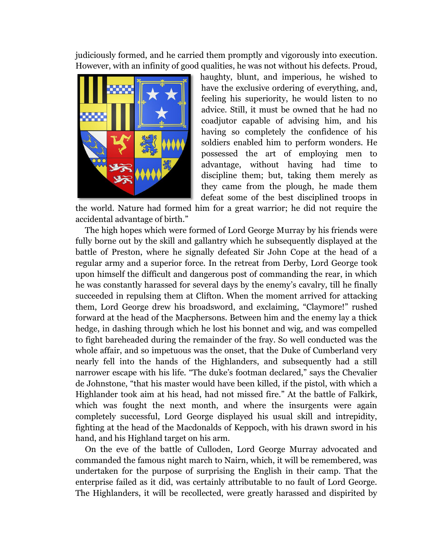judiciously formed, and he carried them promptly and vigorously into execution. However, with an infinity of good qualities, he was not without his defects. Proud,



haughty, blunt, and imperious, he wished to have the exclusive ordering of everything, and, feeling his superiority, he would listen to no advice. Still, it must be owned that he had no coadjutor capable of advising him, and his having so completely the confidence of his soldiers enabled him to perform wonders. He possessed the art of employing men to advantage, without having had time to discipline them; but, taking them merely as they came from the plough, he made them defeat some of the best disciplined troops in

the world. Nature had formed him for a great warrior; he did not require the accidental advantage of birth."

The high hopes which were formed of Lord George Murray by his friends were fully borne out by the skill and gallantry which he subsequently displayed at the battle of Preston, where he signally defeated Sir John Cope at the head of a regular army and a superior force. In the retreat from Derby, Lord George took upon himself the difficult and dangerous post of commanding the rear, in which he was constantly harassed for several days by the enemy's cavalry, till he finally succeeded in repulsing them at Clifton. When the moment arrived for attacking them, Lord George drew his broadsword, and exclaiming, "Claymore!" rushed forward at the head of the Macphersons. Between him and the enemy lay a thick hedge, in dashing through which he lost his bonnet and wig, and was compelled to fight bareheaded during the remainder of the fray. So well conducted was the whole affair, and so impetuous was the onset, that the Duke of Cumberland very nearly fell into the hands of the Highlanders, and subsequently had a still narrower escape with his life. "The duke's footman declared," says the Chevalier de Johnstone, "that his master would have been killed, if the pistol, with which a Highlander took aim at his head, had not missed fire." At the battle of Falkirk, which was fought the next month, and where the insurgents were again completely successful, Lord George displayed his usual skill and intrepidity, fighting at the head of the Macdonalds of Keppoch, with his drawn sword in his hand, and his Highland target on his arm.

On the eve of the battle of Culloden, Lord George Murray advocated and commanded the famous night march to Nairn, which, it will be remembered, was undertaken for the purpose of surprising the English in their camp. That the enterprise failed as it did, was certainly attributable to no fault of Lord George. The Highlanders, it will be recollected, were greatly harassed and dispirited by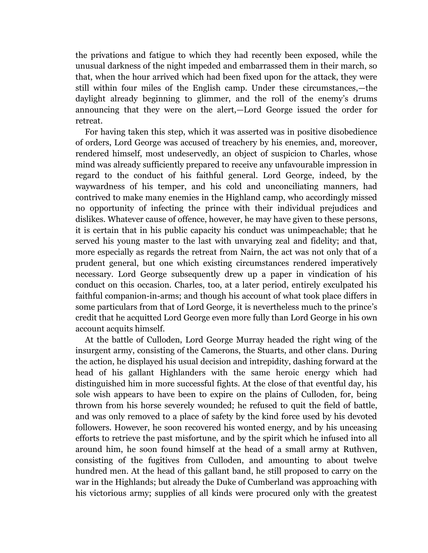the privations and fatigue to which they had recently been exposed, while the unusual darkness of the night impeded and embarrassed them in their march, so that, when the hour arrived which had been fixed upon for the attack, they were still within four miles of the English camp. Under these circumstances,—the daylight already beginning to glimmer, and the roll of the enemy's drums announcing that they were on the alert,—Lord George issued the order for retreat.

For having taken this step, which it was asserted was in positive disobedience of orders, Lord George was accused of treachery by his enemies, and, moreover, rendered himself, most undeservedly, an object of suspicion to Charles, whose mind was already sufficiently prepared to receive any unfavourable impression in regard to the conduct of his faithful general. Lord George, indeed, by the waywardness of his temper, and his cold and unconciliating manners, had contrived to make many enemies in the Highland camp, who accordingly missed no opportunity of infecting the prince with their individual prejudices and dislikes. Whatever cause of offence, however, he may have given to these persons, it is certain that in his public capacity his conduct was unimpeachable; that he served his young master to the last with unvarying zeal and fidelity; and that, more especially as regards the retreat from Nairn, the act was not only that of a prudent general, but one which existing circumstances rendered imperatively necessary. Lord George subsequently drew up a paper in vindication of his conduct on this occasion. Charles, too, at a later period, entirely exculpated his faithful companion-in-arms; and though his account of what took place differs in some particulars from that of Lord George, it is nevertheless much to the prince's credit that he acquitted Lord George even more fully than Lord George in his own account acquits himself.

At the battle of Culloden, Lord George Murray headed the right wing of the insurgent army, consisting of the Camerons, the Stuarts, and other clans. During the action, he displayed his usual decision and intrepidity, dashing forward at the head of his gallant Highlanders with the same heroic energy which had distinguished him in more successful fights. At the close of that eventful day, his sole wish appears to have been to expire on the plains of Culloden, for, being thrown from his horse severely wounded; he refused to quit the field of battle, and was only removed to a place of safety by the kind force used by his devoted followers. However, he soon recovered his wonted energy, and by his unceasing efforts to retrieve the past misfortune, and by the spirit which he infused into all around him, he soon found himself at the head of a small army at Ruthven, consisting of the fugitives from Culloden, and amounting to about twelve hundred men. At the head of this gallant band, he still proposed to carry on the war in the Highlands; but already the Duke of Cumberland was approaching with his victorious army; supplies of all kinds were procured only with the greatest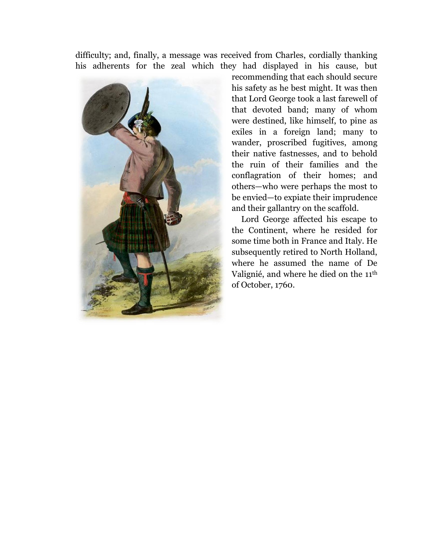difficulty; and, finally, a message was received from Charles, cordially thanking his adherents for the zeal which they had displayed in his cause, but



recommending that each should secure his safety as he best might. It was then that Lord George took a last farewell of that devoted band; many of whom were destined, like himself, to pine as exiles in a foreign land; many to wander, proscribed fugitives, among their native fastnesses, and to behold the ruin of their families and the conflagration of their homes; and others—who were perhaps the most to be envied—to expiate their imprudence and their gallantry on the scaffold.

Lord George affected his escape to the Continent, where he resided for some time both in France and Italy. He subsequently retired to North Holland, where he assumed the name of De Valignié, and where he died on the 11th of October, 1760.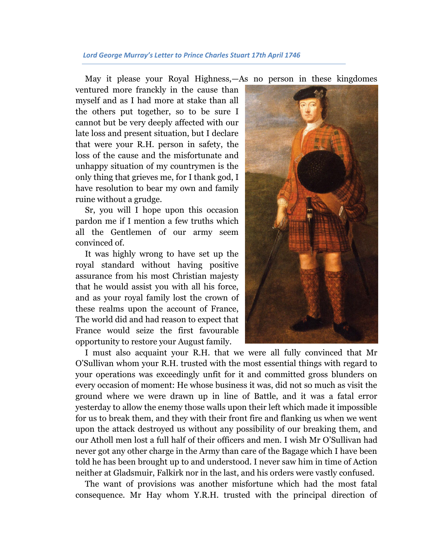## *Lord George Murray's Letter to Prince Charles Stuart 17th April 1746*

May it please your Royal Highness,—As no person in these kingdomes

ventured more franckly in the cause than myself and as I had more at stake than all the others put together, so to be sure I cannot but be very deeply affected with our late loss and present situation, but I declare that were your R.H. person in safety, the loss of the cause and the misfortunate and unhappy situation of my countrymen is the only thing that grieves me, for I thank god, I have resolution to bear my own and family ruine without a grudge.

Sr, you will I hope upon this occasion pardon me if I mention a few truths which all the Gentlemen of our army seem convinced of.

It was highly wrong to have set up the royal standard without having positive assurance from his most Christian majesty that he would assist you with all his force, and as your royal family lost the crown of these realms upon the account of France, The world did and had reason to expect that France would seize the first favourable opportunity to restore your August family.



I must also acquaint your R.H. that we were all fully convinced that Mr O'Sullivan whom your R.H. trusted with the most essential things with regard to your operations was exceedingly unfit for it and committed gross blunders on every occasion of moment: He whose business it was, did not so much as visit the ground where we were drawn up in line of Battle, and it was a fatal error yesterday to allow the enemy those walls upon their left which made it impossible for us to break them, and they with their front fire and flanking us when we went upon the attack destroyed us without any possibility of our breaking them, and our Atholl men lost a full half of their officers and men. I wish Mr O'Sullivan had never got any other charge in the Army than care of the Bagage which I have been told he has been brought up to and understood. I never saw him in time of Action neither at Gladsmuir, Falkirk nor in the last, and his orders were vastly confused.

The want of provisions was another misfortune which had the most fatal consequence. Mr Hay whom Y.R.H. trusted with the principal direction of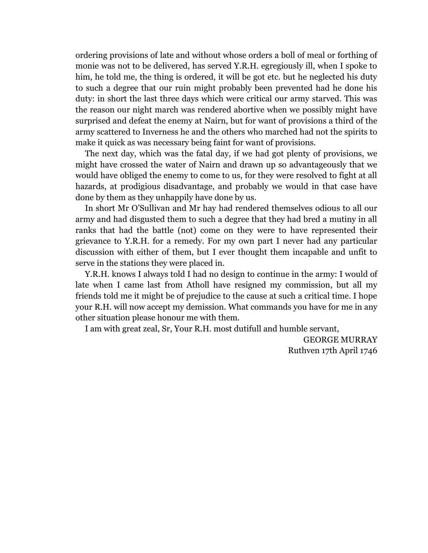ordering provisions of late and without whose orders a boll of meal or forthing of monie was not to be delivered, has served Y.R.H. egregiously ill, when I spoke to him, he told me, the thing is ordered, it will be got etc. but he neglected his duty to such a degree that our ruin might probably been prevented had he done his duty: in short the last three days which were critical our army starved. This was the reason our night march was rendered abortive when we possibly might have surprised and defeat the enemy at Nairn, but for want of provisions a third of the army scattered to Inverness he and the others who marched had not the spirits to make it quick as was necessary being faint for want of provisions.

The next day, which was the fatal day, if we had got plenty of provisions, we might have crossed the water of Nairn and drawn up so advantageously that we would have obliged the enemy to come to us, for they were resolved to fight at all hazards, at prodigious disadvantage, and probably we would in that case have done by them as they unhappily have done by us.

In short Mr O'Sullivan and Mr hay had rendered themselves odious to all our army and had disgusted them to such a degree that they had bred a mutiny in all ranks that had the battle (not) come on they were to have represented their grievance to Y.R.H. for a remedy. For my own part I never had any particular discussion with either of them, but I ever thought them incapable and unfit to serve in the stations they were placed in.

Y.R.H. knows I always told I had no design to continue in the army: I would of late when I came last from Atholl have resigned my commission, but all my friends told me it might be of prejudice to the cause at such a critical time. I hope your R.H. will now accept my demission. What commands you have for me in any other situation please honour me with them.

I am with great zeal, Sr, Your R.H. most dutifull and humble servant,

GEORGE MURRAY Ruthven 17th April 1746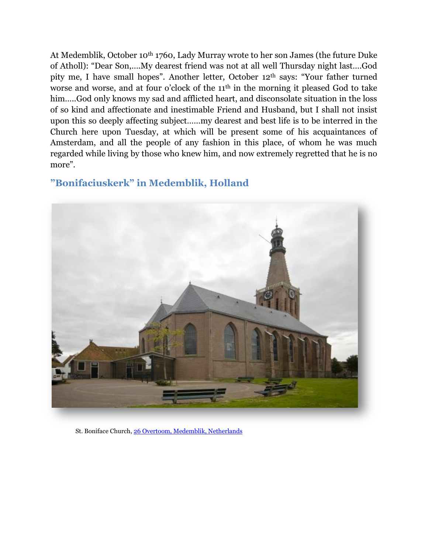At Medemblik, October 10th 1760, Lady Murray wrote to her son James (the future Duke of Atholl): "Dear Son,….My dearest friend was not at all well Thursday night last….God pity me, I have small hopes". Another letter, October 12th says: "Your father turned worse and worse, and at four o'clock of the 11<sup>th</sup> in the morning it pleased God to take him.....God only knows my sad and afflicted heart, and disconsolate situation in the loss of so kind and affectionate and inestimable Friend and Husband, but I shall not insist upon this so deeply affecting subject……my dearest and best life is to be interred in the Church here upon Tuesday, at which will be present some of his acquaintances of Amsterdam, and all the people of any fashion in this place, of whom he was much regarded while living by those who knew him, and now extremely regretted that he is no more".

## **"Bonifaciuskerk" in Medemblik, Holland**



[St. Boniface Church](http://www.bonifaciuskerkmedemblik.nl/Duits-Engels/E history church.htm)[, 26 Overtoom, Medemblik, Netherlands](http://maps.google.com/maps?ll=52.773194,5.103746&spn=0.0015,0.0015&t=h&q=52.773194,5.103746)